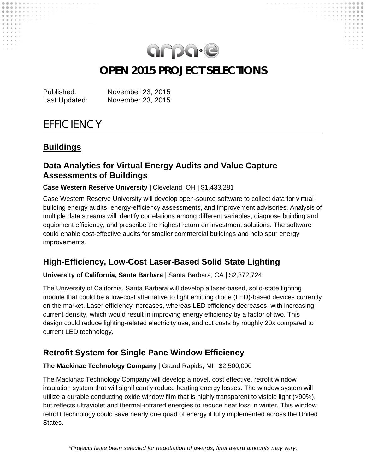# arpa.e

## **OPEN 2015 PROJECT SELECTIONS**

Published: November 23, 2015 Last Updated: November 23, 2015

## **EFFICIENCY**

## **Buildings**

## **Data Analytics for Virtual Energy Audits and Value Capture Assessments of Buildings**

#### **Case Western Reserve University** | Cleveland, OH | \$1,433,281

Case Western Reserve University will develop open-source software to collect data for virtual building energy audits, energy-efficiency assessments, and improvement advisories. Analysis of multiple data streams will identify correlations among different variables, diagnose building and equipment efficiency, and prescribe the highest return on investment solutions. The software could enable cost-effective audits for smaller commercial buildings and help spur energy improvements.

## **High-Efficiency, Low-Cost Laser-Based Solid State Lighting**

#### **University of California, Santa Barbara** | Santa Barbara, CA | \$2,372,724

The University of California, Santa Barbara will develop a laser-based, solid-state lighting module that could be a low-cost alternative to light emitting diode (LED)-based devices currently on the market. Laser efficiency increases, whereas LED efficiency decreases, with increasing current density, which would result in improving energy efficiency by a factor of two. This design could reduce lighting-related electricity use, and cut costs by roughly 20x compared to current LED technology.

## **Retrofit System for Single Pane Window Efficiency**

#### **The Mackinac Technology Company** | Grand Rapids, MI | \$2,500,000

The Mackinac Technology Company will develop a novel, cost effective, retrofit window insulation system that will significantly reduce heating energy losses. The window system will utilize a durable conducting oxide window film that is highly transparent to visible light (>90%), but reflects ultraviolet and thermal-infrared energies to reduce heat loss in winter. This window retrofit technology could save nearly one quad of energy if fully implemented across the United States.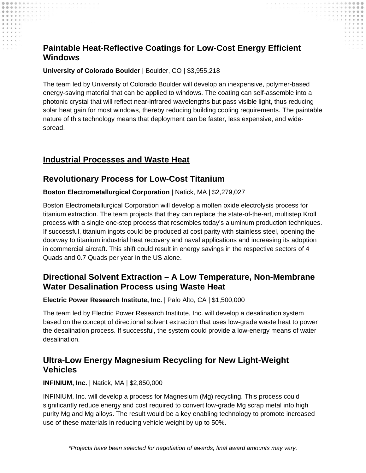## **Paintable Heat-Reflective Coatings for Low-Cost Energy Efficient Windows**

#### **University of Colorado Boulder** | Boulder, CO | \$3,955,218

The team led by University of Colorado Boulder will develop an inexpensive, polymer-based energy-saving material that can be applied to windows. The coating can self-assemble into a photonic crystal that will reflect near-infrared wavelengths but pass visible light, thus reducing solar heat gain for most windows, thereby reducing building cooling requirements. The paintable nature of this technology means that deployment can be faster, less expensive, and widespread.

## **Industrial Processes and Waste Heat**

## **Revolutionary Process for Low-Cost Titanium**

#### **Boston Electrometallurgical Corporation** | Natick, MA | \$2,279,027

Boston Electrometallurgical Corporation will develop a molten oxide electrolysis process for titanium extraction. The team projects that they can replace the state-of-the-art, multistep Kroll process with a single one-step process that resembles today's aluminum production techniques. If successful, titanium ingots could be produced at cost parity with stainless steel, opening the doorway to titanium industrial heat recovery and naval applications and increasing its adoption in commercial aircraft. This shift could result in energy savings in the respective sectors of 4 Quads and 0.7 Quads per year in the US alone.

#### **Directional Solvent Extraction – A Low Temperature, Non-Membrane Water Desalination Process using Waste Heat**

#### **Electric Power Research Institute, Inc.** | Palo Alto, CA | \$1,500,000

The team led by Electric Power Research Institute, Inc. will develop a desalination system based on the concept of directional solvent extraction that uses low-grade waste heat to power the desalination process. If successful, the system could provide a low-energy means of water desalination.

## **Ultra-Low Energy Magnesium Recycling for New Light-Weight Vehicles**

#### **INFINIUM, Inc.** | Natick, MA | \$2,850,000

INFINIUM, Inc. will develop a process for Magnesium (Mg) recycling. This process could significantly reduce energy and cost required to convert low-grade Mg scrap metal into high purity Mg and Mg alloys. The result would be a key enabling technology to promote increased use of these materials in reducing vehicle weight by up to 50%.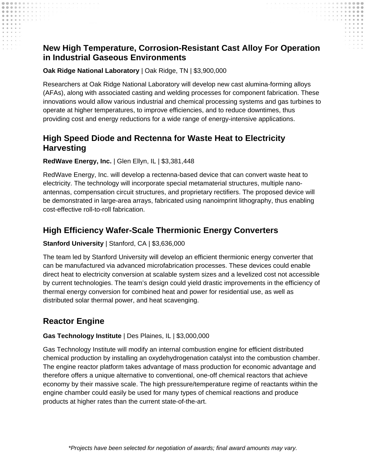## **New High Temperature, Corrosion-Resistant Cast Alloy For Operation in Industrial Gaseous Environments**

#### **Oak Ridge National Laboratory** | Oak Ridge, TN | \$3,900,000

Researchers at Oak Ridge National Laboratory will develop new cast alumina-forming alloys (AFAs), along with associated casting and welding processes for component fabrication. These innovations would allow various industrial and chemical processing systems and gas turbines to operate at higher temperatures, to improve efficiencies, and to reduce downtimes, thus providing cost and energy reductions for a wide range of energy-intensive applications.

## **High Speed Diode and Rectenna for Waste Heat to Electricity Harvesting**

#### **RedWave Energy, Inc.** | Glen Ellyn, IL | \$3,381,448

RedWave Energy, Inc. will develop a rectenna-based device that can convert waste heat to electricity. The technology will incorporate special metamaterial structures, multiple nanoantennas, compensation circuit structures, and proprietary rectifiers. The proposed device will be demonstrated in large-area arrays, fabricated using nanoimprint lithography, thus enabling cost-effective roll-to-roll fabrication.

## **High Efficiency Wafer-Scale Thermionic Energy Converters**

#### **Stanford University** | Stanford, CA | \$3,636,000

The team led by Stanford University will develop an efficient thermionic energy converter that can be manufactured via advanced microfabrication processes. These devices could enable direct heat to electricity conversion at scalable system sizes and a levelized cost not accessible by current technologies. The team's design could yield drastic improvements in the efficiency of thermal energy conversion for combined heat and power for residential use, as well as distributed solar thermal power, and heat scavenging.

## **Reactor Engine**

#### **Gas Technology Institute** | Des Plaines, IL | \$3,000,000

Gas Technology Institute will modify an internal combustion engine for efficient distributed chemical production by installing an oxydehydrogenation catalyst into the combustion chamber. The engine reactor platform takes advantage of mass production for economic advantage and therefore offers a unique alternative to conventional, one-off chemical reactors that achieve economy by their massive scale. The high pressure/temperature regime of reactants within the engine chamber could easily be used for many types of chemical reactions and produce products at higher rates than the current state-of-the-art.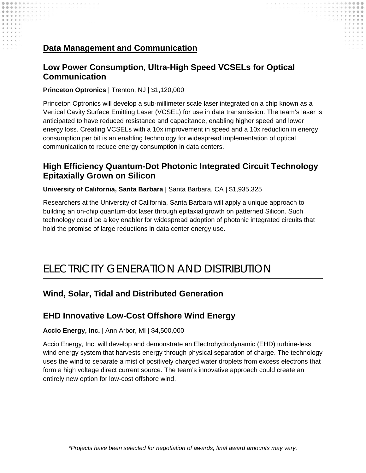## **Data Management and Communication**

## **Low Power Consumption, Ultra-High Speed VCSELs for Optical Communication**

#### **Princeton Optronics** | Trenton, NJ | \$1,120,000

Princeton Optronics will develop a sub-millimeter scale laser integrated on a chip known as a Vertical Cavity Surface Emitting Laser (VCSEL) for use in data transmission. The team's laser is anticipated to have reduced resistance and capacitance, enabling higher speed and lower energy loss. Creating VCSELs with a 10x improvement in speed and a 10x reduction in energy consumption per bit is an enabling technology for widespread implementation of optical communication to reduce energy consumption in data centers.

#### **High Efficiency Quantum-Dot Photonic Integrated Circuit Technology Epitaxially Grown on Silicon**

#### **University of California, Santa Barbara** | Santa Barbara, CA | \$1,935,325

Researchers at the University of California, Santa Barbara will apply a unique approach to building an on-chip quantum-dot laser through epitaxial growth on patterned Silicon. Such technology could be a key enabler for widespread adoption of photonic integrated circuits that hold the promise of large reductions in data center energy use.

## ELECTRICITY GENERATION AND DISTRIBUTION

#### **Wind, Solar, Tidal and Distributed Generation**

#### **EHD Innovative Low-Cost Offshore Wind Energy**

#### **Accio Energy, Inc.** | Ann Arbor, MI | \$4,500,000

Accio Energy, Inc. will develop and demonstrate an Electrohydrodynamic (EHD) turbine-less wind energy system that harvests energy through physical separation of charge. The technology uses the wind to separate a mist of positively charged water droplets from excess electrons that form a high voltage direct current source. The team's innovative approach could create an entirely new option for low-cost offshore wind.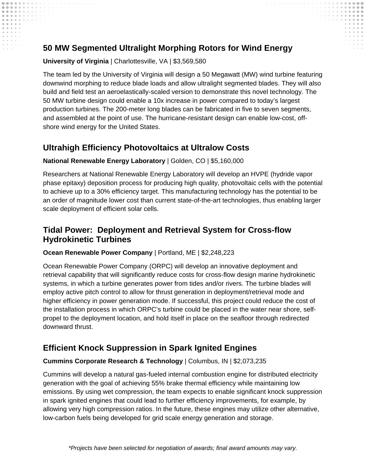## **50 MW Segmented Ultralight Morphing Rotors for Wind Energy**

#### **University of Virginia** | Charlottesville, VA | \$3,569,580

The team led by the University of Virginia will design a 50 Megawatt (MW) wind turbine featuring downwind morphing to reduce blade loads and allow ultralight segmented blades. They will also build and field test an aeroelastically-scaled version to demonstrate this novel technology. The 50 MW turbine design could enable a 10x increase in power compared to today's largest production turbines. The 200-meter long blades can be fabricated in five to seven segments, and assembled at the point of use. The hurricane-resistant design can enable low-cost, offshore wind energy for the United States.

 $\circ$ 

## **Ultrahigh Efficiency Photovoltaics at Ultralow Costs**

#### **National Renewable Energy Laboratory** | Golden, CO | \$5,160,000

Researchers at National Renewable Energy Laboratory will develop an HVPE (hydride vapor phase epitaxy) deposition process for producing high quality, photovoltaic cells with the potential to achieve up to a 30% efficiency target. This manufacturing technology has the potential to be an order of magnitude lower cost than current state-of-the-art technologies, thus enabling larger scale deployment of efficient solar cells.

## **Tidal Power: Deployment and Retrieval System for Cross-flow Hydrokinetic Turbines**

#### **Ocean Renewable Power Company** | Portland, ME | \$2,248,223

Ocean Renewable Power Company (ORPC) will develop an innovative deployment and retrieval capability that will significantly reduce costs for cross-flow design marine hydrokinetic systems, in which a turbine generates power from tides and/or rivers. The turbine blades will employ active pitch control to allow for thrust generation in deployment/retrieval mode and higher efficiency in power generation mode. If successful, this project could reduce the cost of the installation process in which ORPC's turbine could be placed in the water near shore, selfpropel to the deployment location, and hold itself in place on the seafloor through redirected downward thrust.

## **Efficient Knock Suppression in Spark Ignited Engines**

#### **Cummins Corporate Research & Technology** | Columbus, IN | \$2,073,235

Cummins will develop a natural gas-fueled internal combustion engine for distributed electricity generation with the goal of achieving 55% brake thermal efficiency while maintaining low emissions. By using wet compression, the team expects to enable significant knock suppression in spark ignited engines that could lead to further efficiency improvements, for example, by allowing very high compression ratios. In the future, these engines may utilize other alternative, low-carbon fuels being developed for grid scale energy generation and storage.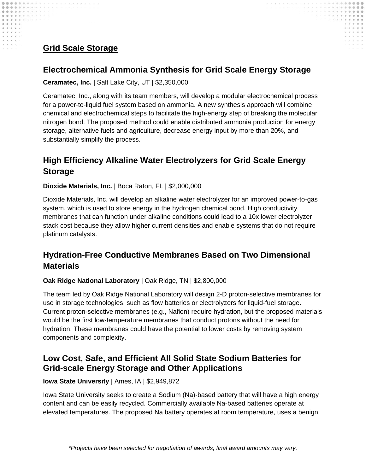## **Grid Scale Storage**

#### **Electrochemical Ammonia Synthesis for Grid Scale Energy Storage**

**Ceramatec, Inc.** | Salt Lake City, UT | \$2,350,000

Ceramatec, Inc., along with its team members, will develop a modular electrochemical process for a power-to-liquid fuel system based on ammonia. A new synthesis approach will combine chemical and electrochemical steps to facilitate the high-energy step of breaking the molecular nitrogen bond. The proposed method could enable distributed ammonia production for energy storage, alternative fuels and agriculture, decrease energy input by more than 20%, and substantially simplify the process.

## **High Efficiency Alkaline Water Electrolyzers for Grid Scale Energy Storage**

#### **Dioxide Materials, Inc.** | Boca Raton, FL | \$2,000,000

Dioxide Materials, Inc. will develop an alkaline water electrolyzer for an improved power-to-gas system, which is used to store energy in the hydrogen chemical bond. High conductivity membranes that can function under alkaline conditions could lead to a 10x lower electrolyzer stack cost because they allow higher current densities and enable systems that do not require platinum catalysts.

## **Hydration-Free Conductive Membranes Based on Two Dimensional Materials**

#### **Oak Ridge National Laboratory** | Oak Ridge, TN | \$2,800,000

The team led by Oak Ridge National Laboratory will design 2-D proton-selective membranes for use in storage technologies, such as flow batteries or electrolyzers for liquid-fuel storage. Current proton-selective membranes (e.g., Nafion) require hydration, but the proposed materials would be the first low-temperature membranes that conduct protons without the need for hydration. These membranes could have the potential to lower costs by removing system components and complexity.

#### **Low Cost, Safe, and Efficient All Solid State Sodium Batteries for Grid-scale Energy Storage and Other Applications**

#### **Iowa State University** | Ames, IA | \$2,949,872

Iowa State University seeks to create a Sodium (Na)-based battery that will have a high energy content and can be easily recycled. Commercially available Na-based batteries operate at elevated temperatures. The proposed Na battery operates at room temperature, uses a benign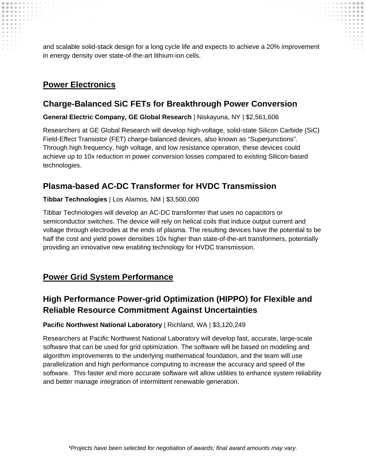and scalable solid-stack design for a long cycle life and expects to achieve a 20% improvement in energy density over state-of-the-art lithium-ion cells.

## **Power Electronics**

## **Charge-Balanced SiC FETs for Breakthrough Power Conversion**

**General Electric Company, GE Global Research** | Niskayuna, NY | \$2,561,606

Researchers at GE Global Research will develop high-voltage, solid-state Silicon Carbide (SiC) Field-Effect Transistor (FET) charge-balanced devices, also known as "Superjunctions". Through high frequency, high voltage, and low resistance operation, these devices could achieve up to 10x reduction in power conversion losses compared to existing Silicon-based technologies.

## **Plasma-based AC-DC Transformer for HVDC Transmission**

**Tibbar Technologies** | Los Alamos, NM | \$3,500,000

Tibbar Technologies will develop an AC-DC transformer that uses no capacitors or semiconductor switches. The device will rely on helical coils that induce output current and voltage through electrodes at the ends of plasma. The resulting devices have the potential to be half the cost and yield power densities 10x higher than state-of-the-art transformers, potentially providing an innovative new enabling technology for HVDC transmission.

## **Power Grid System Performance**

## **High Performance Power-grid Optimization (HIPPO) for Flexible and Reliable Resource Commitment Against Uncertainties**

#### **Pacific Northwest National Laboratory** | Richland, WA | \$3,120,249

Researchers at Pacific Northwest National Laboratory will develop fast, accurate, large-scale software that can be used for grid optimization. The software will be based on modeling and algorithm improvements to the underlying mathematical foundation, and the team will use parallelization and high performance computing to increase the accuracy and speed of the software. This faster and more accurate software will allow utilities to enhance system reliability and better manage integration of intermittent renewable generation.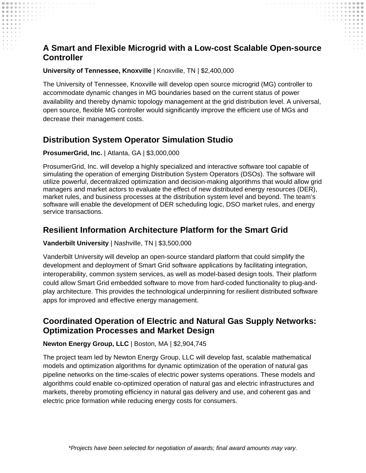## **A Smart and Flexible Microgrid with a Low-cost Scalable Open-source Controller**

 $0 0 0 0$ 

#### **University of Tennessee, Knoxville** | Knoxville, TN | \$2,400,000

The University of Tennessee, Knoxville will develop open source microgrid (MG) controller to accommodate dynamic changes in MG boundaries based on the current status of power availability and thereby dynamic topology management at the grid distribution level. A universal, open source, flexible MG controller would significantly improve the efficient use of MGs and decrease their management costs.

## **Distribution System Operator Simulation Studio**

#### **ProsumerGrid, Inc.** | Atlanta, GA | \$3,000,000

ProsumerGrid, Inc. will develop a highly specialized and interactive software tool capable of simulating the operation of emerging Distribution System Operators (DSOs). The software will utilize powerful, decentralized optimization and decision-making algorithms that would allow grid managers and market actors to evaluate the effect of new distributed energy resources (DER), market rules, and business processes at the distribution system level and beyond. The team's software will enable the development of DER scheduling logic, DSO market rules, and energy service transactions.

#### **Resilient Information Architecture Platform for the Smart Grid**

#### **Vanderbilt University** | Nashville, TN | \$3,500,000

Vanderbilt University will develop an open-source standard platform that could simplify the development and deployment of Smart Grid software applications by facilitating integration, interoperability, common system services, as well as model-based design tools. Their platform could allow Smart Grid embedded software to move from hard-coded functionality to plug-andplay architecture. This provides the technological underpinning for resilient distributed software apps for improved and effective energy management.

## **Coordinated Operation of Electric and Natural Gas Supply Networks: Optimization Processes and Market Design**

#### **Newton Energy Group, LLC** | Boston, MA | \$2,904,745

The project team led by Newton Energy Group, LLC will develop fast, scalable mathematical models and optimization algorithms for dynamic optimization of the operation of natural gas pipeline networks on the time-scales of electric power systems operations. These models and algorithms could enable co-optimized operation of natural gas and electric infrastructures and markets, thereby promoting efficiency in natural gas delivery and use, and coherent gas and electric price formation while reducing energy costs for consumers.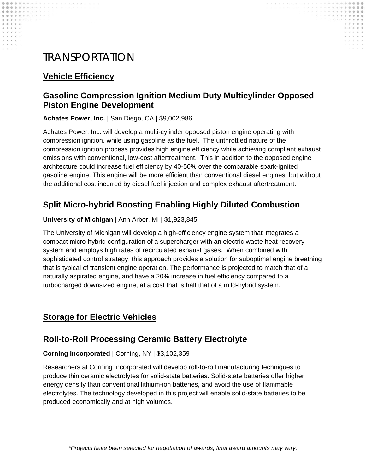## TRANSPORTATION

## **Vehicle Efficiency**

## **Gasoline Compression Ignition Medium Duty Multicylinder Opposed Piston Engine Development**

**Achates Power, Inc.** | San Diego, CA | \$9,002,986

Achates Power, Inc. will develop a multi-cylinder opposed piston engine operating with compression ignition, while using gasoline as the fuel. The unthrottled nature of the compression ignition process provides high engine efficiency while achieving compliant exhaust emissions with conventional, low-cost aftertreatment. This in addition to the opposed engine architecture could increase fuel efficiency by 40-50% over the comparable spark-ignited gasoline engine. This engine will be more efficient than conventional diesel engines, but without the additional cost incurred by diesel fuel injection and complex exhaust aftertreatment.

## **Split Micro-hybrid Boosting Enabling Highly Diluted Combustion**

#### **University of Michigan** | Ann Arbor, MI | \$1,923,845

The University of Michigan will develop a high-efficiency engine system that integrates a compact micro-hybrid configuration of a supercharger with an electric waste heat recovery system and employs high rates of recirculated exhaust gases. When combined with sophisticated control strategy, this approach provides a solution for suboptimal engine breathing that is typical of transient engine operation. The performance is projected to match that of a naturally aspirated engine, and have a 20% increase in fuel efficiency compared to a turbocharged downsized engine, at a cost that is half that of a mild-hybrid system.

## **Storage for Electric Vehicles**

## **Roll-to-Roll Processing Ceramic Battery Electrolyte**

#### **Corning Incorporated** | Corning, NY | \$3,102,359

Researchers at Corning Incorporated will develop roll-to-roll manufacturing techniques to produce thin ceramic electrolytes for solid-state batteries. Solid-state batteries offer higher energy density than conventional lithium-ion batteries, and avoid the use of flammable electrolytes. The technology developed in this project will enable solid-state batteries to be produced economically and at high volumes.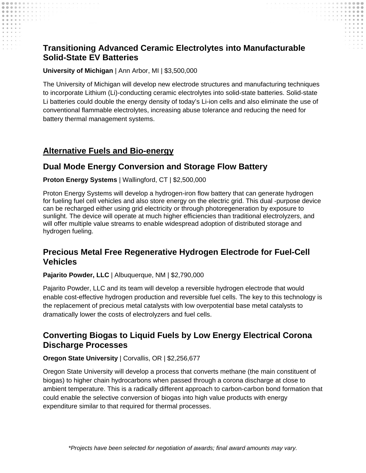## **Transitioning Advanced Ceramic Electrolytes into Manufacturable Solid-State EV Batteries**

 $\circ$ 

#### **University of Michigan** | Ann Arbor, MI | \$3,500,000

The University of Michigan will develop new electrode structures and manufacturing techniques to incorporate Lithium (Li)-conducting ceramic electrolytes into solid-state batteries. Solid-state Li batteries could double the energy density of today's Li-ion cells and also eliminate the use of conventional flammable electrolytes, increasing abuse tolerance and reducing the need for battery thermal management systems.

#### **Alternative Fuels and Bio-energy**

#### **Dual Mode Energy Conversion and Storage Flow Battery**

#### **Proton Energy Systems** | Wallingford, CT | \$2,500,000

Proton Energy Systems will develop a hydrogen-iron flow battery that can generate hydrogen for fueling fuel cell vehicles and also store energy on the electric grid. This dual -purpose device can be recharged either using grid electricity or through photoregeneration by exposure to sunlight. The device will operate at much higher efficiencies than traditional electrolyzers, and will offer multiple value streams to enable widespread adoption of distributed storage and hydrogen fueling.

## **Precious Metal Free Regenerative Hydrogen Electrode for Fuel-Cell Vehicles**

#### Pajarito Powder, LLC | Albuquerque, NM | \$2,790,000

Pajarito Powder, LLC and its team will develop a reversible hydrogen electrode that would enable cost-effective hydrogen production and reversible fuel cells. The key to this technology is the replacement of precious metal catalysts with low overpotential base metal catalysts to dramatically lower the costs of electrolyzers and fuel cells.

## **Converting Biogas to Liquid Fuels by Low Energy Electrical Corona Discharge Processes**

#### **Oregon State University** | Corvallis, OR | \$2,256,677

Oregon State University will develop a process that converts methane (the main constituent of biogas) to higher chain hydrocarbons when passed through a corona discharge at close to ambient temperature. This is a radically different approach to carbon-carbon bond formation that could enable the selective conversion of biogas into high value products with energy expenditure similar to that required for thermal processes.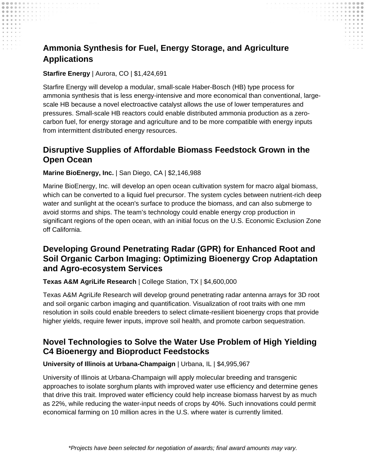## **Ammonia Synthesis for Fuel, Energy Storage, and Agriculture Applications**

#### **Starfire Energy** | Aurora, CO | \$1,424,691

Starfire Energy will develop a modular, small-scale Haber-Bosch (HB) type process for ammonia synthesis that is less energy-intensive and more economical than conventional, largescale HB because a novel electroactive catalyst allows the use of lower temperatures and pressures. Small-scale HB reactors could enable distributed ammonia production as a zerocarbon fuel, for energy storage and agriculture and to be more compatible with energy inputs from intermittent distributed energy resources.

## **Disruptive Supplies of Affordable Biomass Feedstock Grown in the Open Ocean**

#### **Marine BioEnergy, Inc.** | San Diego, CA | \$2,146,988

Marine BioEnergy, Inc. will develop an open ocean cultivation system for macro algal biomass, which can be converted to a liquid fuel precursor. The system cycles between nutrient-rich deep water and sunlight at the ocean's surface to produce the biomass, and can also submerge to avoid storms and ships. The team's technology could enable energy crop production in significant regions of the open ocean, with an initial focus on the U.S. Economic Exclusion Zone off California.

## **Developing Ground Penetrating Radar (GPR) for Enhanced Root and Soil Organic Carbon Imaging: Optimizing Bioenergy Crop Adaptation and Agro-ecosystem Services**

#### **Texas A&M AgriLife Research** | College Station, TX | \$4,600,000

Texas A&M AgriLife Research will develop ground penetrating radar antenna arrays for 3D root and soil organic carbon imaging and quantification. Visualization of root traits with one mm resolution in soils could enable breeders to select climate-resilient bioenergy crops that provide higher yields, require fewer inputs, improve soil health, and promote carbon sequestration.

## **Novel Technologies to Solve the Water Use Problem of High Yielding C4 Bioenergy and Bioproduct Feedstocks**

#### **University of Illinois at Urbana-Champaign** | Urbana, IL | \$4,995,967

University of Illinois at Urbana-Champaign will apply molecular breeding and transgenic approaches to isolate sorghum plants with improved water use efficiency and determine genes that drive this trait. Improved water efficiency could help increase biomass harvest by as much as 22%, while reducing the water-input needs of crops by 40%. Such innovations could permit economical farming on 10 million acres in the U.S. where water is currently limited.